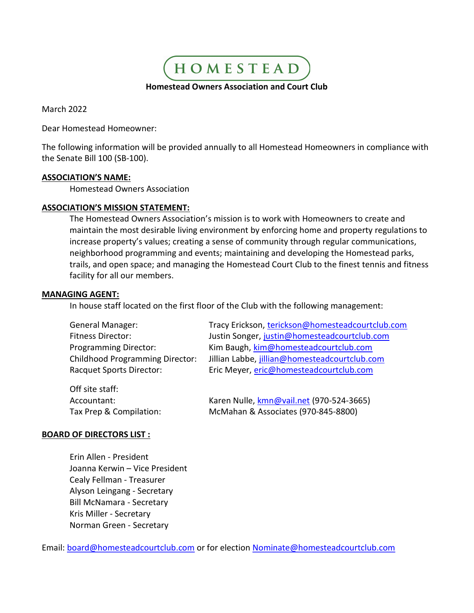HOMESTEAD Homestead Owners Association and Court Club

March 2022

Dear Homestead Homeowner:

The following information will be provided annually to all Homestead Homeowners in compliance with the Senate Bill 100 (SB-100).

## ASSOCIATION'S NAME:

Homestead Owners Association

# ASSOCIATION'S MISSION STATEMENT:

The Homestead Owners Association's mission is to work with Homeowners to create and maintain the most desirable living environment by enforcing home and property regulations to increase property's values; creating a sense of community through regular communications, neighborhood programming and events; maintaining and developing the Homestead parks, trails, and open space; and managing the Homestead Court Club to the finest tennis and fitness facility for all our members.

## MANAGING AGENT:

In house staff located on the first floor of the Club with the following management:

| <b>General Manager:</b>                | Tracy Erickson, terickson@homesteadcourtclub.com |
|----------------------------------------|--------------------------------------------------|
| <b>Fitness Director:</b>               | Justin Songer, justin@homesteadcourtclub.com     |
| <b>Programming Director:</b>           | Kim Baugh, kim@homesteadcourtclub.com            |
| <b>Childhood Programming Director:</b> | Jillian Labbe, jillian@homesteadcourtclub.com    |
| <b>Racquet Sports Director:</b>        | Eric Meyer, eric@homesteadcourtclub.com          |
| Off site staff:                        |                                                  |
| Accountant:                            | Karen Nulle, kmn@vail.net (970-524-3665)         |

#### BOARD OF DIRECTORS LIST :

 Erin Allen - President Joanna Kerwin – Vice President Cealy Fellman - Treasurer Alyson Leingang - Secretary Bill McNamara - Secretary Kris Miller - Secretary Norman Green - Secretary

Email: board@homesteadcourtclub.com or for election Nominate@homesteadcourtclub.com

Tax Prep & Compilation: McMahan & Associates (970-845-8800)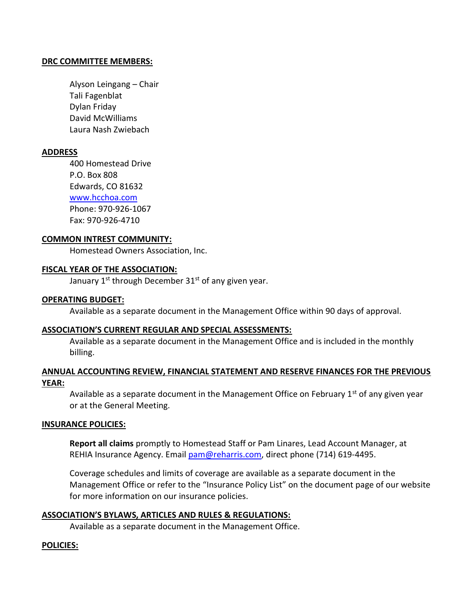## DRC COMMITTEE MEMBERS:

Alyson Leingang – Chair Tali Fagenblat Dylan Friday David McWilliams Laura Nash Zwiebach

# ADDRESS

 400 Homestead Drive P.O. Box 808 Edwards, CO 81632 www.hcchoa.com Phone: 970-926-1067 Fax: 970-926-4710

#### COMMON INTREST COMMUNITY:

Homestead Owners Association, Inc.

## FISCAL YEAR OF THE ASSOCIATION:

January  $1^{st}$  through December  $31^{st}$  of any given year.

#### OPERATING BUDGET:

Available as a separate document in the Management Office within 90 days of approval.

#### ASSOCIATION'S CURRENT REGULAR AND SPECIAL ASSESSMENTS:

Available as a separate document in the Management Office and is included in the monthly billing.

# ANNUAL ACCOUNTING REVIEW, FINANCIAL STATEMENT AND RESERVE FINANCES FOR THE PREVIOUS YEAR:

Available as a separate document in the Management Office on February  $1<sup>st</sup>$  of any given year or at the General Meeting.

#### INSURANCE POLICIES:

Report all claims promptly to Homestead Staff or Pam Linares, Lead Account Manager, at REHIA Insurance Agency. Email pam@reharris.com, direct phone (714) 619-4495.

Coverage schedules and limits of coverage are available as a separate document in the Management Office or refer to the "Insurance Policy List" on the document page of our website for more information on our insurance policies.

#### ASSOCIATION'S BYLAWS, ARTICLES AND RULES & REGULATIONS:

Available as a separate document in the Management Office.

#### POLICIES: